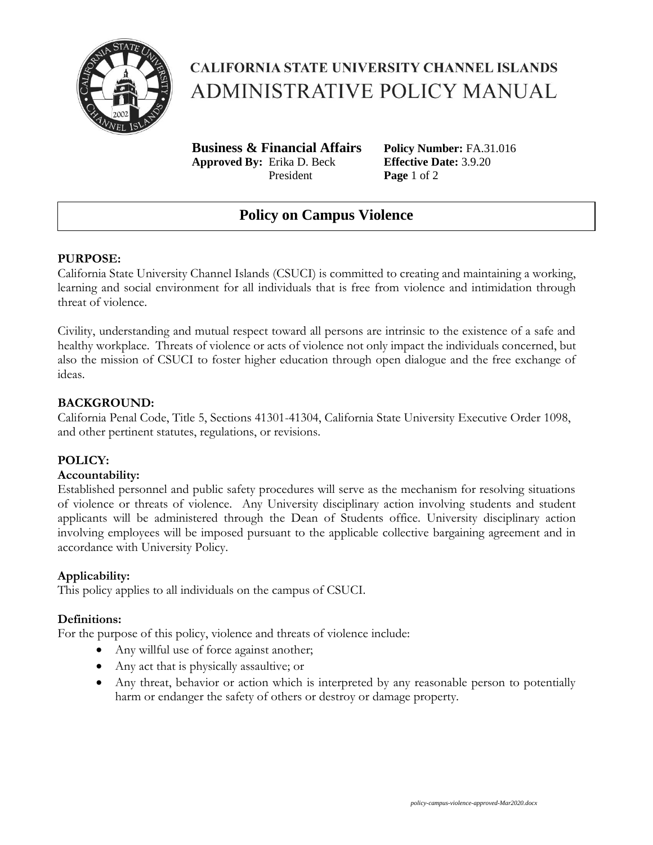

# **CALIFORNIA STATE UNIVERSITY CHANNEL ISLANDS ADMINISTRATIVE POLICY MANUAL**

**Business & Financial Affairs Policy Number:** FA.31.016 **Approved By:** Erika D. Beck **Effective Date:** 3.9.20 President **Page** 1 of 2

# **Policy on Campus Violence**

## **PURPOSE:**

California State University Channel Islands (CSUCI) is committed to creating and maintaining a working, learning and social environment for all individuals that is free from violence and intimidation through threat of violence.

Civility, understanding and mutual respect toward all persons are intrinsic to the existence of a safe and healthy workplace. Threats of violence or acts of violence not only impact the individuals concerned, but also the mission of CSUCI to foster higher education through open dialogue and the free exchange of ideas.

## **BACKGROUND:**

California Penal Code, Title 5, Sections 41301-41304, California State University Executive Order 1098, and other pertinent statutes, regulations, or revisions.

## **POLICY:**

#### **Accountability:**

Established personnel and public safety procedures will serve as the mechanism for resolving situations of violence or threats of violence. Any University disciplinary action involving students and student applicants will be administered through the Dean of Students office. University disciplinary action involving employees will be imposed pursuant to the applicable collective bargaining agreement and in accordance with University Policy.

#### **Applicability:**

This policy applies to all individuals on the campus of CSUCI.

#### **Definitions:**

For the purpose of this policy, violence and threats of violence include:

- Any willful use of force against another;
- Any act that is physically assaultive; or
- Any threat, behavior or action which is interpreted by any reasonable person to potentially harm or endanger the safety of others or destroy or damage property.